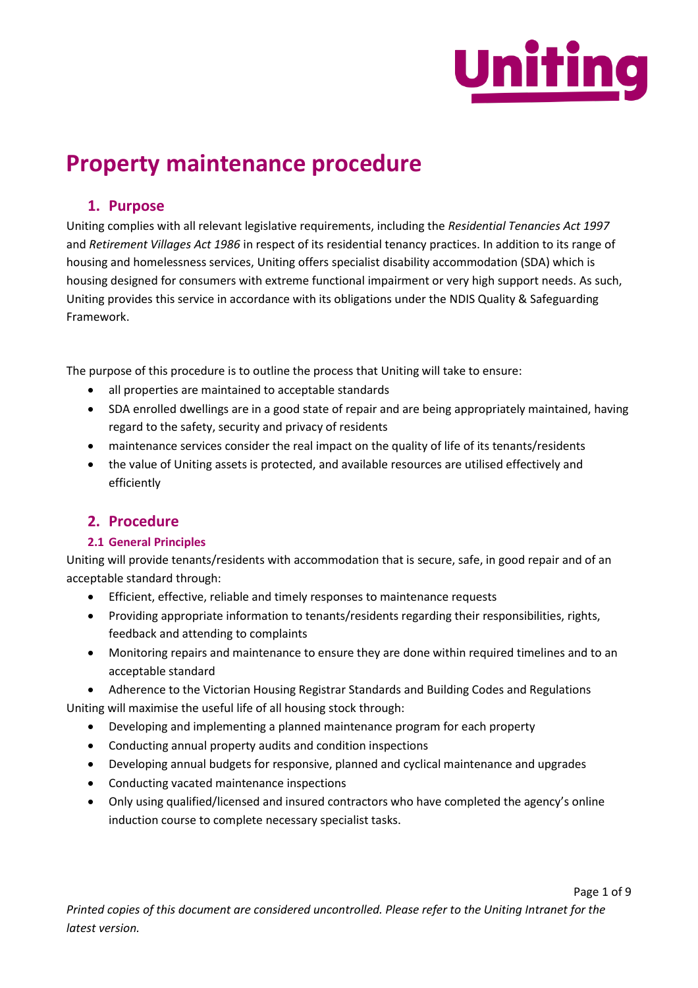

# **Property maintenance procedure**

# **1. Purpose**

Uniting complies with all relevant legislative requirements, including the *Residential Tenancies Act 1997*  and *Retirement Villages Act 1986* in respect of its residential tenancy practices. In addition to its range of housing and homelessness services, Uniting offers specialist disability accommodation (SDA) which is housing designed for consumers with extreme functional impairment or very high support needs. As such, Uniting provides this service in accordance with its obligations under the NDIS Quality & Safeguarding Framework.

The purpose of this procedure is to outline the process that Uniting will take to ensure:

- all properties are maintained to acceptable standards
- SDA enrolled dwellings are in a good state of repair and are being appropriately maintained, having regard to the safety, security and privacy of residents
- maintenance services consider the real impact on the quality of life of its tenants/residents
- the value of Uniting assets is protected, and available resources are utilised effectively and efficiently

# **2. Procedure**

# **2.1 General Principles**

Uniting will provide tenants/residents with accommodation that is secure, safe, in good repair and of an acceptable standard through:

- Efficient, effective, reliable and timely responses to maintenance requests
- Providing appropriate information to tenants/residents regarding their responsibilities, rights, feedback and attending to complaints
- Monitoring repairs and maintenance to ensure they are done within required timelines and to an acceptable standard

• Adherence to the Victorian Housing Registrar Standards and Building Codes and Regulations Uniting will maximise the useful life of all housing stock through:

- Developing and implementing a planned maintenance program for each property
- Conducting annual property audits and condition inspections
- Developing annual budgets for responsive, planned and cyclical maintenance and upgrades
- Conducting vacated maintenance inspections
- Only using qualified/licensed and insured contractors who have completed the agency's online induction course to complete necessary specialist tasks.

Page 1 of 9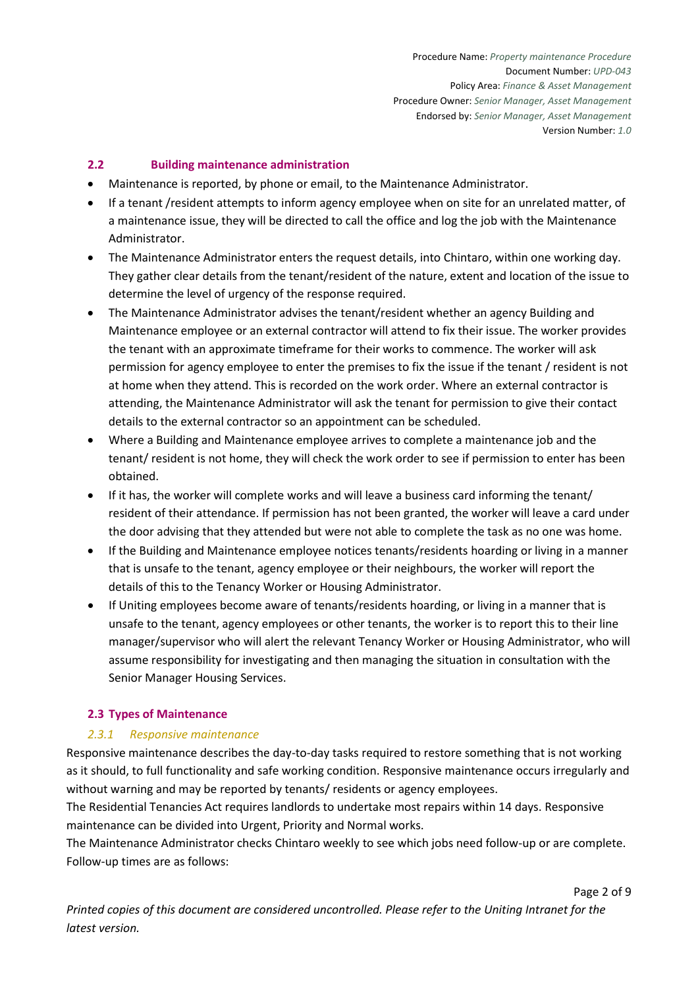## **2.2 Building maintenance administration**

- Maintenance is reported, by phone or email, to the Maintenance Administrator.
- If a tenant /resident attempts to inform agency employee when on site for an unrelated matter, of a maintenance issue, they will be directed to call the office and log the job with the Maintenance Administrator.
- The Maintenance Administrator enters the request details, into Chintaro, within one working day. They gather clear details from the tenant/resident of the nature, extent and location of the issue to determine the level of urgency of the response required.
- The Maintenance Administrator advises the tenant/resident whether an agency Building and Maintenance employee or an external contractor will attend to fix their issue. The worker provides the tenant with an approximate timeframe for their works to commence. The worker will ask permission for agency employee to enter the premises to fix the issue if the tenant / resident is not at home when they attend. This is recorded on the work order. Where an external contractor is attending, the Maintenance Administrator will ask the tenant for permission to give their contact details to the external contractor so an appointment can be scheduled.
- Where a Building and Maintenance employee arrives to complete a maintenance job and the tenant/ resident is not home, they will check the work order to see if permission to enter has been obtained.
- If it has, the worker will complete works and will leave a business card informing the tenant/ resident of their attendance. If permission has not been granted, the worker will leave a card under the door advising that they attended but were not able to complete the task as no one was home.
- If the Building and Maintenance employee notices tenants/residents hoarding or living in a manner that is unsafe to the tenant, agency employee or their neighbours, the worker will report the details of this to the Tenancy Worker or Housing Administrator.
- If Uniting employees become aware of tenants/residents hoarding, or living in a manner that is unsafe to the tenant, agency employees or other tenants, the worker is to report this to their line manager/supervisor who will alert the relevant Tenancy Worker or Housing Administrator, who will assume responsibility for investigating and then managing the situation in consultation with the Senior Manager Housing Services.

### **2.3 Types of Maintenance**

### *2.3.1 Responsive maintenance*

Responsive maintenance describes the day-to-day tasks required to restore something that is not working as it should, to full functionality and safe working condition. Responsive maintenance occurs irregularly and without warning and may be reported by tenants/ residents or agency employees.

The Residential Tenancies Act requires landlords to undertake most repairs within 14 days. Responsive maintenance can be divided into Urgent, Priority and Normal works.

The Maintenance Administrator checks Chintaro weekly to see which jobs need follow-up or are complete. Follow-up times are as follows:

*Printed copies of this document are considered uncontrolled. Please refer to the Uniting Intranet for the latest version.*

Page 2 of 9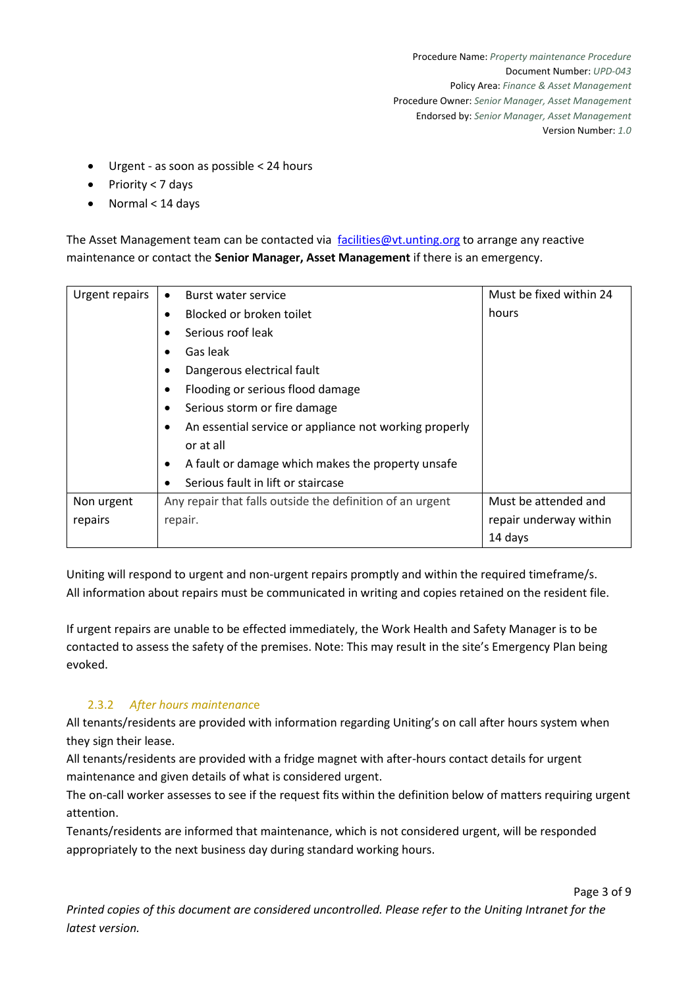Page 3 of 9

- Urgent as soon as possible < 24 hours
- Priority < 7 days
- Normal < 14 days

The Asset Management team can be contacted via [facilities@vt.unting.org](mailto:facilities@vt.unting.org) to arrange any reactive maintenance or contact the **Senior Manager, Asset Management** if there is an emergency.

| Urgent repairs | Burst water service<br>$\bullet$                                    | Must be fixed within 24 |  |  |
|----------------|---------------------------------------------------------------------|-------------------------|--|--|
|                | Blocked or broken toilet<br>$\bullet$                               | hours                   |  |  |
|                | Serious roof leak<br>$\bullet$                                      |                         |  |  |
|                | Gas leak                                                            |                         |  |  |
|                | Dangerous electrical fault<br>٠                                     |                         |  |  |
|                | Flooding or serious flood damage<br>٠                               |                         |  |  |
|                | Serious storm or fire damage<br>$\bullet$                           |                         |  |  |
|                | An essential service or appliance not working properly<br>$\bullet$ |                         |  |  |
|                | or at all                                                           |                         |  |  |
|                | A fault or damage which makes the property unsafe<br>٠              |                         |  |  |
|                | Serious fault in lift or staircase<br>$\bullet$                     |                         |  |  |
| Non urgent     | Any repair that falls outside the definition of an urgent           | Must be attended and    |  |  |
| repairs        | repair.                                                             | repair underway within  |  |  |
|                |                                                                     | 14 days                 |  |  |

Uniting will respond to urgent and non-urgent repairs promptly and within the required timeframe/s. All information about repairs must be communicated in writing and copies retained on the resident file.

If urgent repairs are unable to be effected immediately, the Work Health and Safety Manager is to be contacted to assess the safety of the premises. Note: This may result in the site's Emergency Plan being evoked.

# 2.3.2 *After hours maintenanc*e

All tenants/residents are provided with information regarding Uniting's on call after hours system when they sign their lease.

All tenants/residents are provided with a fridge magnet with after-hours contact details for urgent maintenance and given details of what is considered urgent.

The on-call worker assesses to see if the request fits within the definition below of matters requiring urgent attention.

Tenants/residents are informed that maintenance, which is not considered urgent, will be responded appropriately to the next business day during standard working hours.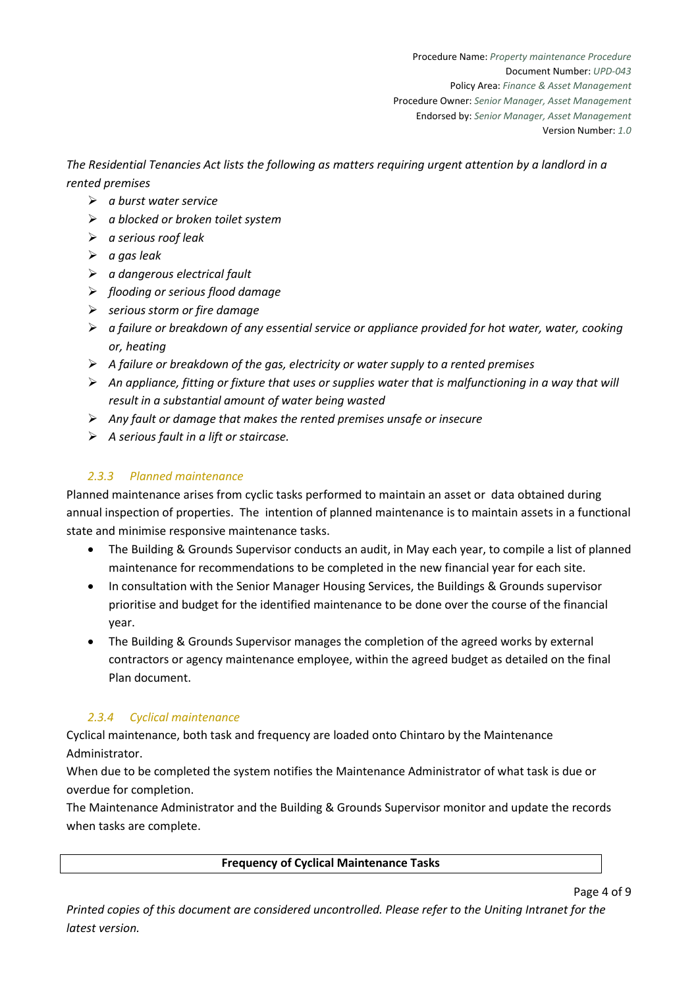*The Residential Tenancies Act lists the following as matters requiring urgent attention by a landlord in a rented premises* 

- ➢ *a burst water service*
- ➢ *a blocked or broken toilet system*
- ➢ *a serious roof leak*
- ➢ *a gas leak*
- ➢ *a dangerous electrical fault*
- ➢ *flooding or serious flood damage*
- ➢ *serious storm or fire damage*
- ➢ *a failure or breakdown of any essential service or appliance provided for hot water, water, cooking or, heating*
- ➢ *A failure or breakdown of the gas, electricity or water supply to a rented premises*
- ➢ *An appliance, fitting or fixture that uses or supplies water that is malfunctioning in a way that will result in a substantial amount of water being wasted*
- ➢ *Any fault or damage that makes the rented premises unsafe or insecure*
- ➢ *A serious fault in a lift or staircase.*

# *2.3.3 Planned maintenance*

Planned maintenance arises from cyclic tasks performed to maintain an asset or data obtained during annual inspection of properties. The intention of planned maintenance is to maintain assets in a functional state and minimise responsive maintenance tasks.

- The Building & Grounds Supervisor conducts an audit, in May each year, to compile a list of planned maintenance for recommendations to be completed in the new financial year for each site.
- In consultation with the Senior Manager Housing Services, the Buildings & Grounds supervisor prioritise and budget for the identified maintenance to be done over the course of the financial year.
- The Building & Grounds Supervisor manages the completion of the agreed works by external contractors or agency maintenance employee, within the agreed budget as detailed on the final Plan document.

# *2.3.4 Cyclical maintenance*

Cyclical maintenance, both task and frequency are loaded onto Chintaro by the Maintenance Administrator.

When due to be completed the system notifies the Maintenance Administrator of what task is due or overdue for completion.

The Maintenance Administrator and the Building & Grounds Supervisor monitor and update the records when tasks are complete.

**Frequency of Cyclical Maintenance Tasks**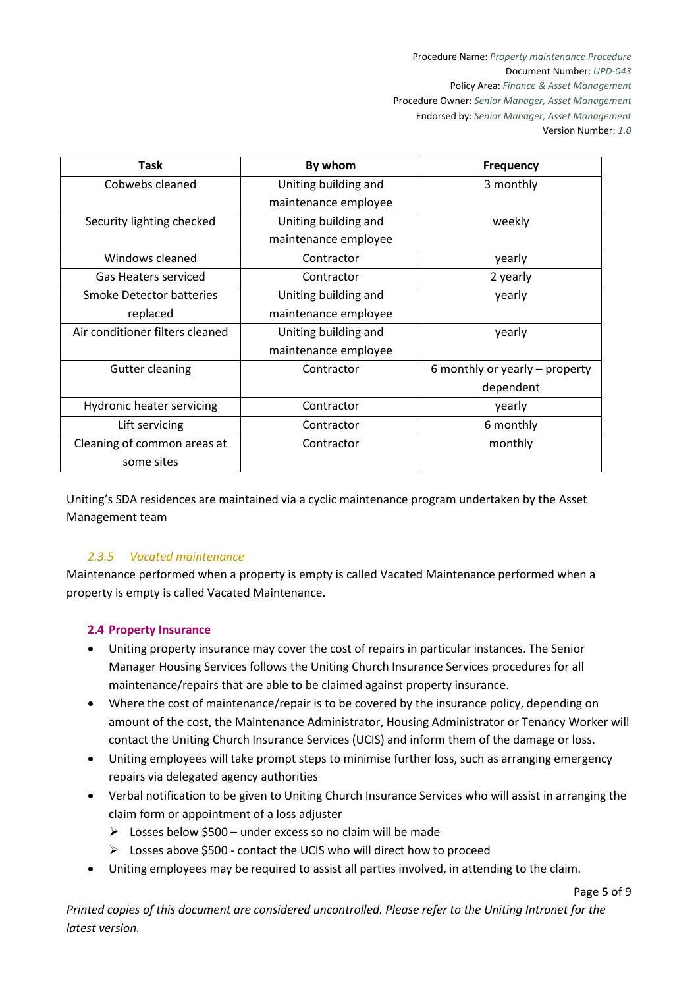Procedure Name: *Property maintenance Procedure* Document Number: *UPD-043* Policy Area: *Finance & Asset Management* Procedure Owner: *Senior Manager, Asset Management* Endorsed by: *Senior Manager, Asset Management*  Version Number: *1.0*

| <b>Task</b>                     | By whom              | <b>Frequency</b>               |
|---------------------------------|----------------------|--------------------------------|
| Cobwebs cleaned                 | Uniting building and | 3 monthly                      |
|                                 | maintenance employee |                                |
| Security lighting checked       | Uniting building and | weekly                         |
|                                 | maintenance employee |                                |
| Windows cleaned                 | Contractor           | yearly                         |
| Gas Heaters serviced            | Contractor           | 2 yearly                       |
| Smoke Detector batteries        | Uniting building and | yearly                         |
| replaced                        | maintenance employee |                                |
| Air conditioner filters cleaned | Uniting building and | yearly                         |
|                                 | maintenance employee |                                |
| <b>Gutter cleaning</b>          | Contractor           | 6 monthly or yearly – property |
|                                 |                      | dependent                      |
| Hydronic heater servicing       | Contractor           | yearly                         |
| Lift servicing                  | Contractor           | 6 monthly                      |
| Cleaning of common areas at     | Contractor           | monthly                        |
| some sites                      |                      |                                |

Uniting's SDA residences are maintained via a cyclic maintenance program undertaken by the Asset Management team

# *2.3.5 Vacated maintenance*

Maintenance performed when a property is empty is called Vacated Maintenance performed when a property is empty is called Vacated Maintenance.

### **2.4 Property Insurance**

- Uniting property insurance may cover the cost of repairs in particular instances. The Senior Manager Housing Services follows the Uniting Church Insurance Services procedures for all maintenance/repairs that are able to be claimed against property insurance.
- Where the cost of maintenance/repair is to be covered by the insurance policy, depending on amount of the cost, the Maintenance Administrator, Housing Administrator or Tenancy Worker will contact the Uniting Church Insurance Services (UCIS) and inform them of the damage or loss.
- Uniting employees will take prompt steps to minimise further loss, such as arranging emergency repairs via delegated agency authorities
- Verbal notification to be given to Uniting Church Insurance Services who will assist in arranging the claim form or appointment of a loss adjuster
	- $\triangleright$  Losses below \$500 under excess so no claim will be made
	- ➢ Losses above \$500 contact the UCIS who will direct how to proceed
- Uniting employees may be required to assist all parties involved, in attending to the claim.

*Printed copies of this document are considered uncontrolled. Please refer to the Uniting Intranet for the latest version.*

Page 5 of 9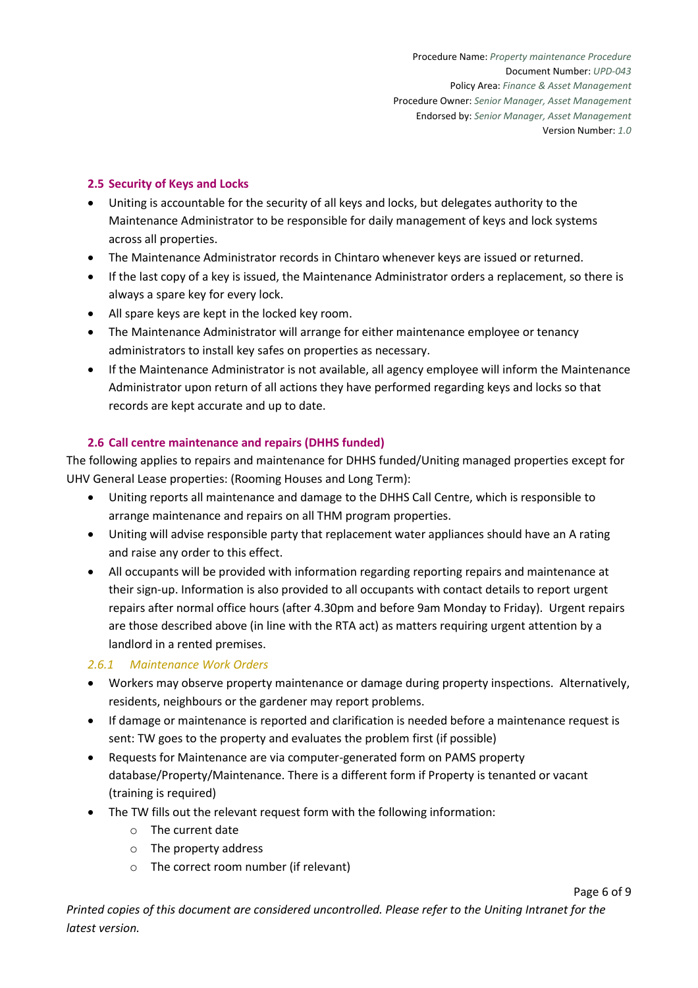## **2.5 Security of Keys and Locks**

- Uniting is accountable for the security of all keys and locks, but delegates authority to the Maintenance Administrator to be responsible for daily management of keys and lock systems across all properties.
- The Maintenance Administrator records in Chintaro whenever keys are issued or returned.
- If the last copy of a key is issued, the Maintenance Administrator orders a replacement, so there is always a spare key for every lock.
- All spare keys are kept in the locked key room.
- The Maintenance Administrator will arrange for either maintenance employee or tenancy administrators to install key safes on properties as necessary.
- If the Maintenance Administrator is not available, all agency employee will inform the Maintenance Administrator upon return of all actions they have performed regarding keys and locks so that records are kept accurate and up to date.

## **2.6 Call centre maintenance and repairs (DHHS funded)**

The following applies to repairs and maintenance for DHHS funded/Uniting managed properties except for UHV General Lease properties: (Rooming Houses and Long Term):

- Uniting reports all maintenance and damage to the DHHS Call Centre, which is responsible to arrange maintenance and repairs on all THM program properties.
- Uniting will advise responsible party that replacement water appliances should have an A rating and raise any order to this effect.
- All occupants will be provided with information regarding reporting repairs and maintenance at their sign-up. Information is also provided to all occupants with contact details to report urgent repairs after normal office hours (after 4.30pm and before 9am Monday to Friday). Urgent repairs are those described above (in line with the RTA act) as matters requiring urgent attention by a landlord in a rented premises.

### *2.6.1 Maintenance Work Orders*

- Workers may observe property maintenance or damage during property inspections. Alternatively, residents, neighbours or the gardener may report problems.
- If damage or maintenance is reported and clarification is needed before a maintenance request is sent: TW goes to the property and evaluates the problem first (if possible)
- Requests for Maintenance are via computer-generated form on PAMS property database/Property/Maintenance. There is a different form if Property is tenanted or vacant (training is required)
- The TW fills out the relevant request form with the following information:
	- o The current date
	- o The property address
	- o The correct room number (if relevant)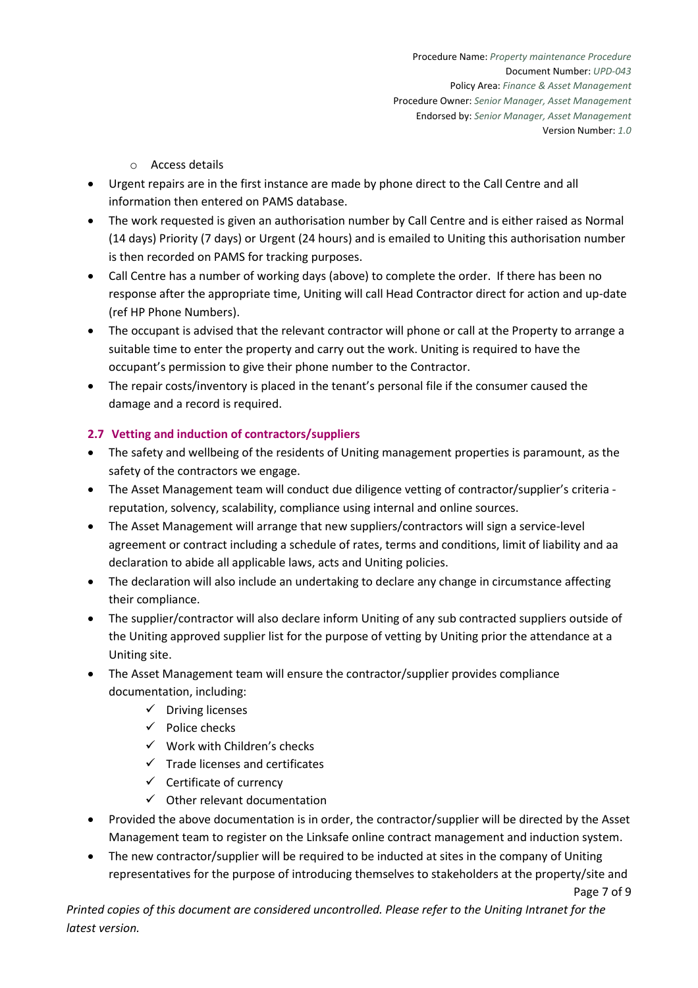- o Access details
- Urgent repairs are in the first instance are made by phone direct to the Call Centre and all information then entered on PAMS database.
- The work requested is given an authorisation number by Call Centre and is either raised as Normal (14 days) Priority (7 days) or Urgent (24 hours) and is emailed to Uniting this authorisation number is then recorded on PAMS for tracking purposes.
- Call Centre has a number of working days (above) to complete the order. If there has been no response after the appropriate time, Uniting will call Head Contractor direct for action and up-date (ref HP Phone Numbers).
- The occupant is advised that the relevant contractor will phone or call at the Property to arrange a suitable time to enter the property and carry out the work. Uniting is required to have the occupant's permission to give their phone number to the Contractor.
- The repair costs/inventory is placed in the tenant's personal file if the consumer caused the damage and a record is required.

# **2.7 Vetting and induction of contractors/suppliers**

- The safety and wellbeing of the residents of Uniting management properties is paramount, as the safety of the contractors we engage.
- The Asset Management team will conduct due diligence vetting of contractor/supplier's criteria reputation, solvency, scalability, compliance using internal and online sources.
- The Asset Management will arrange that new suppliers/contractors will sign a service-level agreement or contract including a schedule of rates, terms and conditions, limit of liability and aa declaration to abide all applicable laws, acts and Uniting policies.
- The declaration will also include an undertaking to declare any change in circumstance affecting their compliance.
- The supplier/contractor will also declare inform Uniting of any sub contracted suppliers outside of the Uniting approved supplier list for the purpose of vetting by Uniting prior the attendance at a Uniting site.
- The Asset Management team will ensure the contractor/supplier provides compliance documentation, including:
	- ✓ Driving licenses
	- $\checkmark$  Police checks
	- $\checkmark$  Work with Children's checks
	- ✓ Trade licenses and certificates
	- $\checkmark$  Certificate of currency
	- $\checkmark$  Other relevant documentation
- Provided the above documentation is in order, the contractor/supplier will be directed by the Asset Management team to register on the Linksafe online contract management and induction system.
- The new contractor/supplier will be required to be inducted at sites in the company of Uniting representatives for the purpose of introducing themselves to stakeholders at the property/site and

Page 7 of 9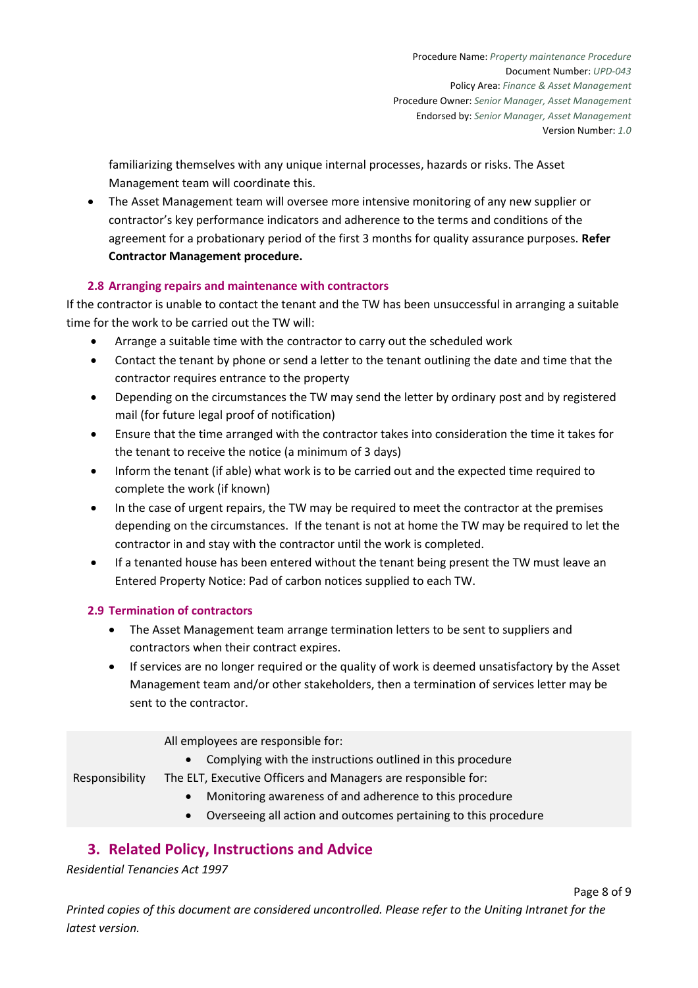familiarizing themselves with any unique internal processes, hazards or risks. The Asset Management team will coordinate this.

• The Asset Management team will oversee more intensive monitoring of any new supplier or contractor's key performance indicators and adherence to the terms and conditions of the agreement for a probationary period of the first 3 months for quality assurance purposes. **Refer Contractor Management procedure.** 

# **2.8 Arranging repairs and maintenance with contractors**

If the contractor is unable to contact the tenant and the TW has been unsuccessful in arranging a suitable time for the work to be carried out the TW will:

- Arrange a suitable time with the contractor to carry out the scheduled work
- Contact the tenant by phone or send a letter to the tenant outlining the date and time that the contractor requires entrance to the property
- Depending on the circumstances the TW may send the letter by ordinary post and by registered mail (for future legal proof of notification)
- Ensure that the time arranged with the contractor takes into consideration the time it takes for the tenant to receive the notice (a minimum of 3 days)
- Inform the tenant (if able) what work is to be carried out and the expected time required to complete the work (if known)
- In the case of urgent repairs, the TW may be required to meet the contractor at the premises depending on the circumstances. If the tenant is not at home the TW may be required to let the contractor in and stay with the contractor until the work is completed.
- If a tenanted house has been entered without the tenant being present the TW must leave an Entered Property Notice: Pad of carbon notices supplied to each TW.

### **2.9 Termination of contractors**

- The Asset Management team arrange termination letters to be sent to suppliers and contractors when their contract expires.
- If services are no longer required or the quality of work is deemed unsatisfactory by the Asset Management team and/or other stakeholders, then a termination of services letter may be sent to the contractor.

All employees are responsible for:

• Complying with the instructions outlined in this procedure

The ELT, Executive Officers and Managers are responsible for:

- Monitoring awareness of and adherence to this procedure
- Overseeing all action and outcomes pertaining to this procedure

# **3. Related Policy, Instructions and Advice**

*Residential Tenancies Act 1997* 

Responsibility